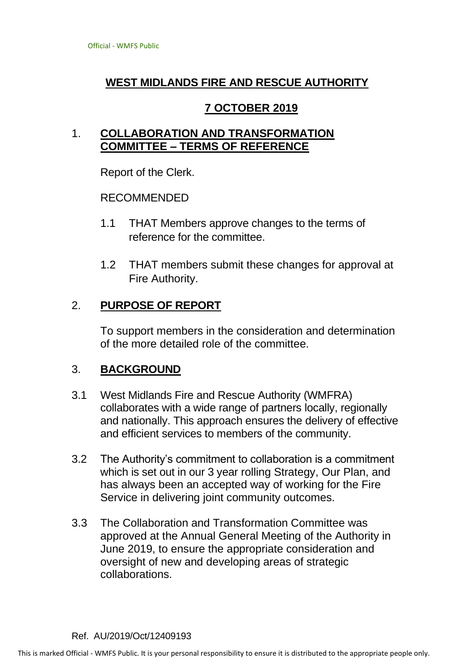# **WEST MIDLANDS FIRE AND RESCUE AUTHORITY**

## **7 OCTOBER 2019**

### 1. **COLLABORATION AND TRANSFORMATION COMMITTEE – TERMS OF REFERENCE**

Report of the Clerk.

#### RECOMMENDED

- 1.1 THAT Members approve changes to the terms of reference for the committee.
- 1.2 THAT members submit these changes for approval at Fire Authority.

### 2. **PURPOSE OF REPORT**

To support members in the consideration and determination of the more detailed role of the committee.

### 3. **BACKGROUND**

- 3.1 West Midlands Fire and Rescue Authority (WMFRA) collaborates with a wide range of partners locally, regionally and nationally. This approach ensures the delivery of effective and efficient services to members of the community.
- 3.2 The Authority's commitment to collaboration is a commitment which is set out in our 3 year rolling Strategy, Our Plan, and has always been an accepted way of working for the Fire Service in delivering joint community outcomes.
- 3.3 The Collaboration and Transformation Committee was approved at the Annual General Meeting of the Authority in June 2019, to ensure the appropriate consideration and oversight of new and developing areas of strategic collaborations.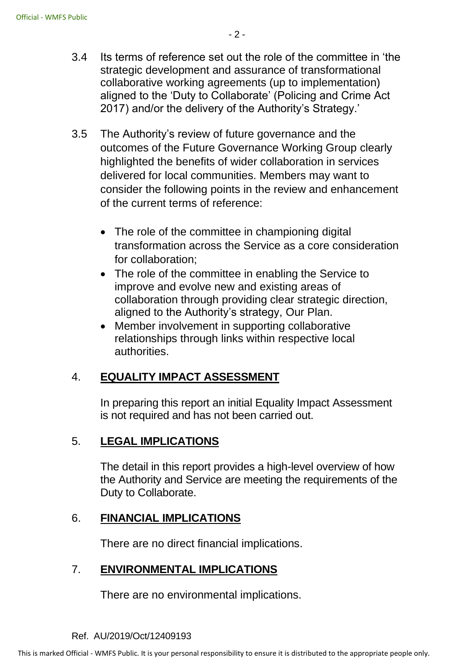- 3.4 Its terms of reference set out the role of the committee in 'the strategic development and assurance of transformational collaborative working agreements (up to implementation) aligned to the 'Duty to Collaborate' (Policing and Crime Act 2017) and/or the delivery of the Authority's Strategy.'
- 3.5 The Authority's review of future governance and the outcomes of the Future Governance Working Group clearly highlighted the benefits of wider collaboration in services delivered for local communities. Members may want to consider the following points in the review and enhancement of the current terms of reference:
	- The role of the committee in championing digital transformation across the Service as a core consideration for collaboration;
	- The role of the committee in enabling the Service to improve and evolve new and existing areas of collaboration through providing clear strategic direction, aligned to the Authority's strategy, Our Plan.
	- Member involvement in supporting collaborative relationships through links within respective local authorities.

# 4. **EQUALITY IMPACT ASSESSMENT**

In preparing this report an initial Equality Impact Assessment is not required and has not been carried out.

### 5. **LEGAL IMPLICATIONS**

The detail in this report provides a high-level overview of how the Authority and Service are meeting the requirements of the Duty to Collaborate.

#### 6. **FINANCIAL IMPLICATIONS**

There are no direct financial implications.

### 7. **ENVIRONMENTAL IMPLICATIONS**

There are no environmental implications.